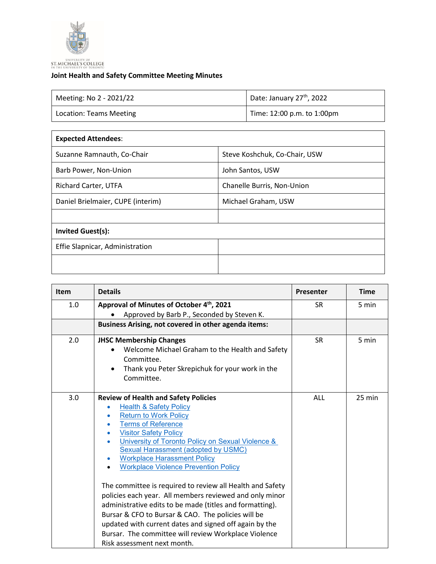

## **Joint Health and Safety Committee Meeting Minutes**

| Meeting: No 2 - 2021/22 | Date: January 27 <sup>th</sup> , 2022 |
|-------------------------|---------------------------------------|
| Location: Teams Meeting | Time: 12:00 p.m. to 1:00pm            |

| <b>Expected Attendees:</b>    |  |  |  |  |
|-------------------------------|--|--|--|--|
| Steve Koshchuk, Co-Chair, USW |  |  |  |  |
| John Santos, USW              |  |  |  |  |
| Chanelle Burris, Non-Union    |  |  |  |  |
| Michael Graham, USW           |  |  |  |  |
|                               |  |  |  |  |
| <b>Invited Guest(s):</b>      |  |  |  |  |
|                               |  |  |  |  |
|                               |  |  |  |  |
|                               |  |  |  |  |

| <b>Item</b> | <b>Details</b>                                                                                                                                                                                                                                                                                                                                                                                                                                                                                                                                                                                                                                                                                                                                            | Presenter  | <b>Time</b> |
|-------------|-----------------------------------------------------------------------------------------------------------------------------------------------------------------------------------------------------------------------------------------------------------------------------------------------------------------------------------------------------------------------------------------------------------------------------------------------------------------------------------------------------------------------------------------------------------------------------------------------------------------------------------------------------------------------------------------------------------------------------------------------------------|------------|-------------|
| 1.0         | Approval of Minutes of October 4th, 2021<br>Approved by Barb P., Seconded by Steven K.                                                                                                                                                                                                                                                                                                                                                                                                                                                                                                                                                                                                                                                                    | <b>SR</b>  | 5 min       |
|             | Business Arising, not covered in other agenda items:                                                                                                                                                                                                                                                                                                                                                                                                                                                                                                                                                                                                                                                                                                      |            |             |
| 2.0         | <b>JHSC Membership Changes</b><br>Welcome Michael Graham to the Health and Safety<br>Committee.<br>Thank you Peter Skrepichuk for your work in the<br>Committee.                                                                                                                                                                                                                                                                                                                                                                                                                                                                                                                                                                                          | <b>SR</b>  | 5 min       |
| 3.0         | <b>Review of Health and Safety Policies</b><br><b>Health &amp; Safety Policy</b><br><b>Return to Work Policy</b><br><b>Terms of Reference</b><br><b>Visitor Safety Policy</b><br>University of Toronto Policy on Sexual Violence &<br>Sexual Harassment (adopted by USMC)<br><b>Workplace Harassment Policy</b><br><b>Workplace Violence Prevention Policy</b><br>The committee is required to review all Health and Safety<br>policies each year. All members reviewed and only minor<br>administrative edits to be made (titles and formatting).<br>Bursar & CFO to Bursar & CAO. The policies will be<br>updated with current dates and signed off again by the<br>Bursar. The committee will review Workplace Violence<br>Risk assessment next month. | <b>ALL</b> | $25$ min    |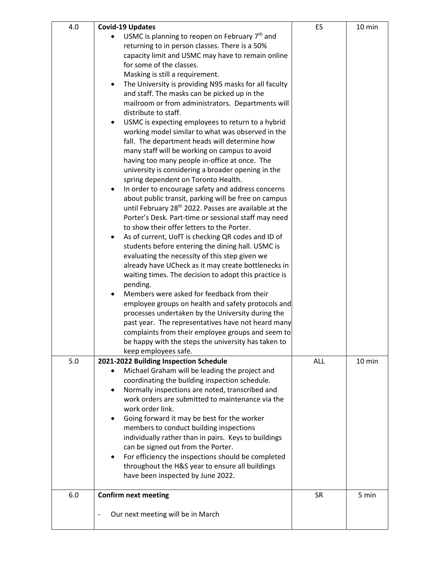| 4.0 | <b>Covid-19 Updates</b>                                                                                  | ES        | 10 min |
|-----|----------------------------------------------------------------------------------------------------------|-----------|--------|
|     | USMC is planning to reopen on February $7th$ and                                                         |           |        |
|     | returning to in person classes. There is a 50%                                                           |           |        |
|     | capacity limit and USMC may have to remain online                                                        |           |        |
|     | for some of the classes.                                                                                 |           |        |
|     | Masking is still a requirement.                                                                          |           |        |
|     | The University is providing N95 masks for all faculty<br>٠                                               |           |        |
|     | and staff. The masks can be picked up in the                                                             |           |        |
|     | mailroom or from administrators. Departments will                                                        |           |        |
|     | distribute to staff.                                                                                     |           |        |
|     | USMC is expecting employees to return to a hybrid                                                        |           |        |
|     | working model similar to what was observed in the                                                        |           |        |
|     | fall. The department heads will determine how                                                            |           |        |
|     | many staff will be working on campus to avoid                                                            |           |        |
|     | having too many people in-office at once. The                                                            |           |        |
|     | university is considering a broader opening in the                                                       |           |        |
|     | spring dependent on Toronto Health.                                                                      |           |        |
|     | In order to encourage safety and address concerns                                                        |           |        |
|     | about public transit, parking will be free on campus                                                     |           |        |
|     | until February 28 <sup>th</sup> 2022. Passes are available at the                                        |           |        |
|     | Porter's Desk. Part-time or sessional staff may need                                                     |           |        |
|     | to show their offer letters to the Porter.                                                               |           |        |
|     | As of current, UofT is checking QR codes and ID of                                                       |           |        |
|     | students before entering the dining hall. USMC is                                                        |           |        |
|     | evaluating the necessity of this step given we                                                           |           |        |
|     | already have UCheck as it may create bottlenecks in                                                      |           |        |
|     | waiting times. The decision to adopt this practice is                                                    |           |        |
|     | pending.                                                                                                 |           |        |
|     | Members were asked for feedback from their                                                               |           |        |
|     | employee groups on health and safety protocols and                                                       |           |        |
|     | processes undertaken by the University during the                                                        |           |        |
|     | past year. The representatives have not heard many                                                       |           |        |
|     | complaints from their employee groups and seem to                                                        |           |        |
|     | be happy with the steps the university has taken to                                                      |           |        |
|     | keep employees safe.                                                                                     |           |        |
| 5.0 | 2021-2022 Building Inspection Schedule                                                                   | ALL       | 10 min |
|     | Michael Graham will be leading the project and                                                           |           |        |
|     | coordinating the building inspection schedule.                                                           |           |        |
|     | Normally inspections are noted, transcribed and<br>٠<br>work orders are submitted to maintenance via the |           |        |
|     | work order link.                                                                                         |           |        |
|     | Going forward it may be best for the worker<br>٠                                                         |           |        |
|     | members to conduct building inspections                                                                  |           |        |
|     | individually rather than in pairs. Keys to buildings                                                     |           |        |
|     | can be signed out from the Porter.                                                                       |           |        |
|     | For efficiency the inspections should be completed<br>$\bullet$                                          |           |        |
|     | throughout the H&S year to ensure all buildings                                                          |           |        |
|     | have been inspected by June 2022.                                                                        |           |        |
|     |                                                                                                          |           |        |
| 6.0 | <b>Confirm next meeting</b>                                                                              | <b>SR</b> | 5 min  |
|     |                                                                                                          |           |        |
|     | Our next meeting will be in March<br>$\overline{\phantom{0}}$                                            |           |        |
|     |                                                                                                          |           |        |